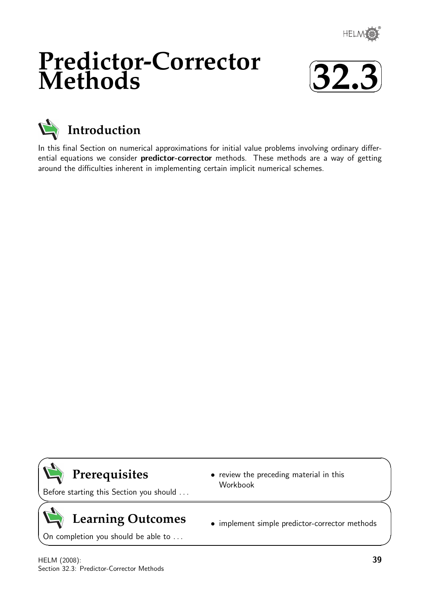

# **Predictor-Corrector Methods**





In this final Section on numerical approximations for initial value problems involving ordinary differential equations we consider predictor-corrector methods. These methods are a way of getting around the difficulties inherent in implementing certain implicit numerical schemes.

## **Prerequisites**

 $\overline{\phantom{0}}$ 

 $\geq$ 

 $\geq$ 

 $\overline{\phantom{0}}$ 

Before starting this Section you should . . .

## **Learning Outcomes**

On completion you should be able to ...

Workbook

• review the preceding material in this

• implement simple predictor-corrector methods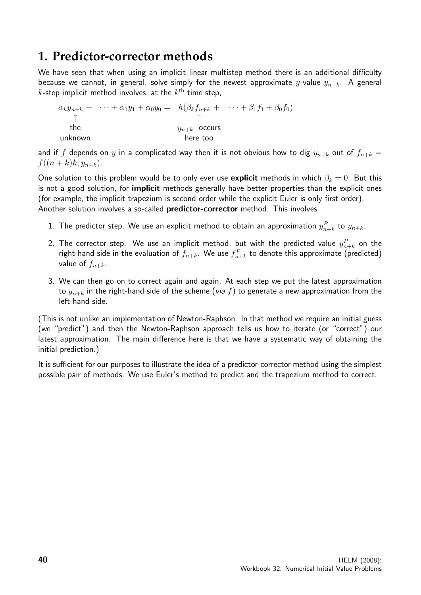### **1. Predictor-corrector methods**

We have seen that when using an implicit linear multistep method there is an additional difficulty because we cannot, in general, solve simply for the newest approximate y-value  $y_{n+k}$ . A general k-step implicit method involves, at the  $k^{\text{th}}$  time step,

 $\alpha_k y_{n+k} + \cdots + \alpha_1 y_1 + \alpha_0 y_0 = h(\beta_k f_{n+k} + \cdots + \beta_1 f_1 + \beta_0 f_0)$ ↑ ↑ the  $y_{n+k}$  occurs unknown here too

and if f depends on y in a complicated way then it is not obvious how to dig  $y_{n+k}$  out of  $f_{n+k}$  =  $f((n+k)h, y_{n+k}).$ 

One solution to this problem would be to only ever use explicit methods in which  $\beta_k = 0$ . But this is not a good solution, for *implicit* methods generally have better properties than the explicit ones (for example, the implicit trapezium is second order while the explicit Euler is only first order). Another solution involves a so-called **predictor-corrector** method. This involves

- 1. The predictor step. We use an explicit method to obtain an approximation  $y_{n+k}^P$  to  $y_{n+k}.$
- 2. The corrector step. We use an implicit method, but with the predicted value  $y_{n+k}^{P}$  on the right-hand side in the evaluation of  $f_{n+k}.$  We use  $f_{n+k}^P$  to denote this approximate (predicted) value of  $f_{n+k}$ .
- 3. We can then go on to correct again and again. At each step we put the latest approximation to  $y_{n+k}$  in the right-hand side of the scheme (via f) to generate a new approximation from the left-hand side.

(This is not unlike an implementation of Newton-Raphson. In that method we require an initial guess (we "predict") and then the Newton-Raphson approach tells us how to iterate (or "correct") our latest approximation. The main difference here is that we have a systematic way of obtaining the initial prediction.)

It is sufficient for our purposes to illustrate the idea of a predictor-corrector method using the simplest possible pair of methods. We use Euler's method to predict and the trapezium method to correct.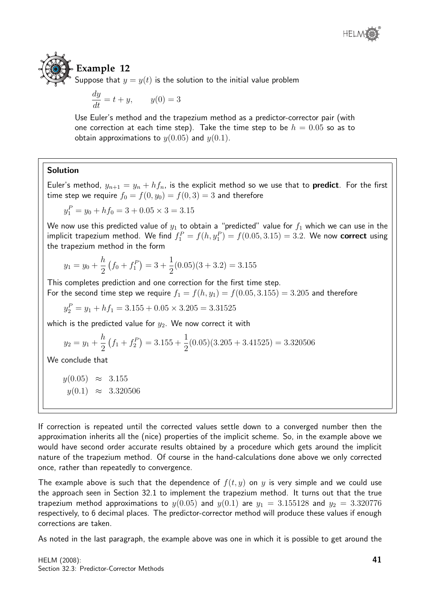

### **Example 12**

Suppose that  $y = y(t)$  is the solution to the initial value problem

$$
\frac{dy}{dt} = t + y, \qquad y(0) = 3
$$

Use Euler's method and the trapezium method as a predictor-corrector pair (with one correction at each time step). Take the time step to be  $h = 0.05$  so as to obtain approximations to  $y(0.05)$  and  $y(0.1)$ .

#### Solution

Euler's method,  $y_{n+1} = y_n + hf_n$ , is the explicit method so we use that to **predict**. For the first time step we require  $f_0 = f(0, y_0) = f(0, 3) = 3$  and therefore

$$
y_1^P = y_0 + h f_0 = 3 + 0.05 \times 3 = 3.15
$$

We now use this predicted value of  $y_1$  to obtain a "predicted" value for  $f_1$  which we can use in the implicit trapezium method. We find  $f_1^P = f(h, y_1^P) = f(0.05, 3.15) = 3.2$ . We now correct using the trapezium method in the form

$$
y_1 = y_0 + \frac{h}{2} (f_0 + f_1^P) = 3 + \frac{1}{2} (0.05)(3 + 3.2) = 3.155
$$

This completes prediction and one correction for the first time step.

For the second time step we require  $f_1 = f(h, y_1) = f(0.05, 3.155) = 3.205$  and therefore

$$
y_2^P = y_1 + h f_1 = 3.155 + 0.05 \times 3.205 = 3.31525
$$

which is the predicted value for  $y_2$ . We now correct it with

$$
y_2 = y_1 + \frac{h}{2} (f_1 + f_2^P) = 3.155 + \frac{1}{2} (0.05)(3.205 + 3.41525) = 3.320506
$$

We conclude that

 $y(0.05) \approx 3.155$  $y(0.1) \approx 3.320506$ 

If correction is repeated until the corrected values settle down to a converged number then the approximation inherits all the (nice) properties of the implicit scheme. So, in the example above we would have second order accurate results obtained by a procedure which gets around the implicit nature of the trapezium method. Of course in the hand-calculations done above we only corrected once, rather than repeatedly to convergence.

The example above is such that the dependence of  $f(t, y)$  on y is very simple and we could use the approach seen in Section 32.1 to implement the trapezium method. It turns out that the true trapezium method approximations to  $y(0.05)$  and  $y(0.1)$  are  $y_1 = 3.155128$  and  $y_2 = 3.320776$ respectively, to 6 decimal places. The predictor-corrector method will produce these values if enough corrections are taken.

As noted in the last paragraph, the example above was one in which it is possible to get around the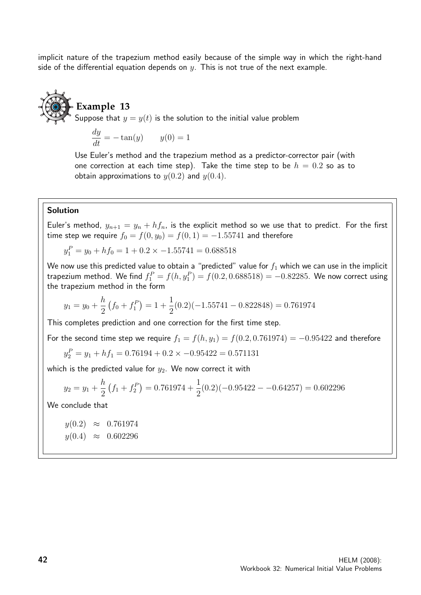implicit nature of the trapezium method easily because of the simple way in which the right-hand side of the differential equation depends on  $\psi$ . This is not true of the next example.



**Example 13**

Suppose that  $y = y(t)$  is the solution to the initial value problem

$$
\frac{dy}{dt} = -\tan(y) \qquad y(0) = 1
$$

Use Euler's method and the trapezium method as a predictor-corrector pair (with one correction at each time step). Take the time step to be  $h = 0.2$  so as to obtain approximations to  $y(0.2)$  and  $y(0.4)$ .

#### Solution

Euler's method,  $y_{n+1} = y_n + hf_n$ , is the explicit method so we use that to predict. For the first time step we require  $f_0 = f(0, y_0) = f(0, 1) = -1.55741$  and therefore

$$
y_1^P = y_0 + h f_0 = 1 + 0.2 \times -1.55741 = 0.688518
$$

We now use this predicted value to obtain a "predicted" value for  $f_1$  which we can use in the implicit trapezium method. We find  $f_1^P = f(h, y_1^P) = f(0.2, 0.688518) = -0.82285$ . We now correct using the trapezium method in the form

$$
y_1 = y_0 + \frac{h}{2} (f_0 + f_1^P) = 1 + \frac{1}{2} (0.2)(-1.55741 - 0.822848) = 0.761974
$$

This completes prediction and one correction for the first time step.

For the second time step we require  $f_1 = f(h, y_1) = f(0.2, 0.761974) = -0.95422$  and therefore

 $y_2^P = y_1 + hf_1 = 0.76194 + 0.2 \times -0.95422 = 0.571131$ 

which is the predicted value for  $y_2$ . We now correct it with

$$
y_2 = y_1 + \frac{h}{2} \left( f_1 + f_2^P \right) = 0.761974 + \frac{1}{2} (0.2)(-0.95422 - -0.64257) = 0.602296
$$

We conclude that

 $y(0.2) \approx 0.761974$  $y(0.4) \approx 0.602296$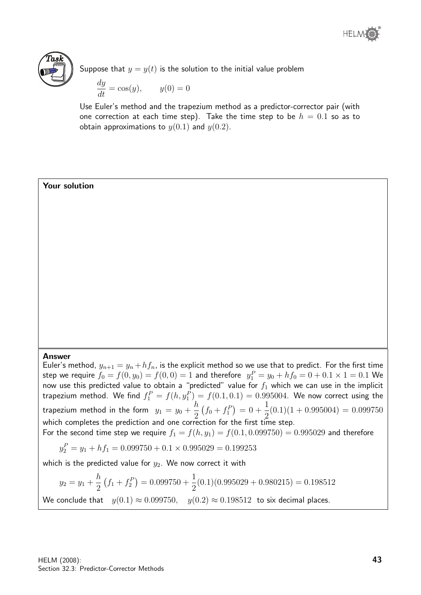

Suppose that  $y = y(t)$  is the solution to the initial value problem

$$
\frac{dy}{dt} = \cos(y), \qquad y(0) = 0
$$

Use Euler's method and the trapezium method as a predictor-corrector pair (with one correction at each time step). Take the time step to be  $h = 0.1$  so as to obtain approximations to  $y(0.1)$  and  $y(0.2)$ .

#### Your solution

#### Answer

Euler's method,  $y_{n+1} = y_n + hf_n$ , is the explicit method so we use that to predict. For the first time step we require  $f_0 = f(0, y_0) = f(0, 0) = 1$  and therefore  $\; y_1^P = y_0 + h f_0 = 0 + 0.1 \times 1 = 0.1$  We now use this predicted value to obtain a "predicted" value for  $f_1$  which we can use in the implicit trapezium method. We find  $f_1^P=f(h,y_1^P)=f(0.1,0.1)=0.995004.$  We now correct using the trapezium method in the form  $y_1 = y_0 +$ h 2  $(f_0 + f_1^P) = 0 +$ 1 2  $(0.1)(1 + 0.995004) = 0.099750$ which completes the prediction and one correction for the first time step. For the second time step we require  $f_1 = f(h, y_1) = f(0.1, 0.099750) = 0.995029$  and therefore

$$
y_2^P = y_1 + h f_1 = 0.099750 + 0.1 \times 0.995029 = 0.199253
$$

which is the predicted value for  $y_2$ . We now correct it with

$$
y_2 = y_1 + \frac{h}{2} \left( f_1 + f_2^P \right) = 0.099750 + \frac{1}{2} (0.1)(0.995029 + 0.980215) = 0.198512
$$
  
We conclude that  $y(0.1) \approx 0.099750$ ,  $y(0.2) \approx 0.198512$  to six decimal places.